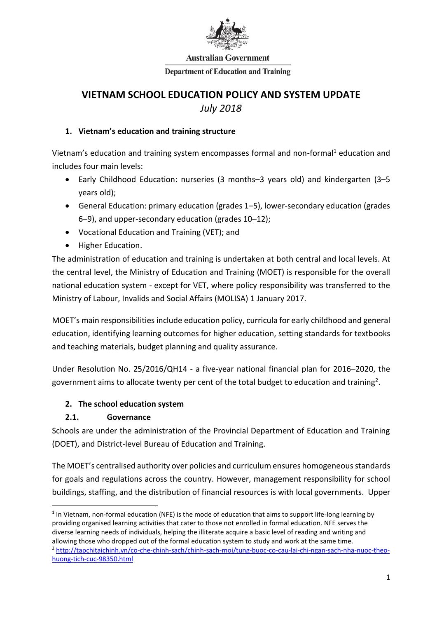

#### **Australian Government**

#### **Department of Education and Training**

# **VIETNAM SCHOOL EDUCATION POLICY AND SYSTEM UPDATE** *July 2018*

#### **1. Vietnam's education and training structure**

Vietnam's education and training system encompasses formal and non-formal<sup>1</sup> education and includes four main levels:

- Early Childhood Education: nurseries (3 months–3 years old) and kindergarten (3–5 years old);
- General Education: primary education (grades 1–5), lower-secondary education (grades 6–9), and upper-secondary education (grades 10–12);
- Vocational Education and Training (VET); and
- Higher Education.

The administration of education and training is undertaken at both central and local levels. At the central level, the Ministry of Education and Training (MOET) is responsible for the overall national education system - except for VET, where policy responsibility was transferred to the Ministry of Labour, Invalids and Social Affairs (MOLISA) 1 January 2017.

MOET's main responsibilities include education policy, curricula for early childhood and general education, identifying learning outcomes for higher education, setting standards for textbooks and teaching materials, budget planning and quality assurance.

Under Resolution No. 25/2016/QH14 - a five-year national financial plan for 2016–2020, the government aims to allocate twenty per cent of the total budget to education and training<sup>2</sup>.

### **2. The school education system**

### **2.1. Governance**

 $\overline{\phantom{a}}$ 

Schools are under the administration of the Provincial Department of Education and Training (DOET), and District-level Bureau of Education and Training.

The MOET's centralised authority over policies and curriculum ensures homogeneous standards for goals and regulations across the country. However, management responsibility for school buildings, staffing, and the distribution of financial resources is with local governments. Upper

 $<sup>1</sup>$  In Vietnam, non-formal education (NFE) is the mode of education that aims to support life-long learning by</sup> providing organised learning activities that cater to those not enrolled in formal education. NFE serves the diverse learning needs of individuals, helping the illiterate acquire a basic level of reading and writing and allowing those who dropped out of the formal education system to study and work at the same time. <sup>2</sup> [http://tapchitaichinh.vn/co-che-chinh-sach/chinh-sach-moi/tung-buoc-co-cau-lai-chi-ngan-sach-nha-nuoc-theo](http://tapchitaichinh.vn/co-che-chinh-sach/chinh-sach-moi/tung-buoc-co-cau-lai-chi-ngan-sach-nha-nuoc-theo-huong-tich-cuc-98350.html)[huong-tich-cuc-98350.html](http://tapchitaichinh.vn/co-che-chinh-sach/chinh-sach-moi/tung-buoc-co-cau-lai-chi-ngan-sach-nha-nuoc-theo-huong-tich-cuc-98350.html)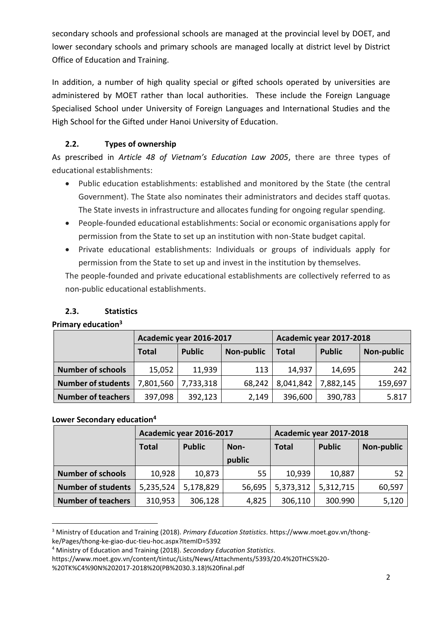secondary schools and professional schools are managed at the provincial level by DOET, and lower secondary schools and primary schools are managed locally at district level by District Office of Education and Training.

In addition, a number of high quality special or gifted schools operated by universities are administered by MOET rather than local authorities. These include the Foreign Language Specialised School under University of Foreign Languages and International Studies and the High School for the Gifted under Hanoi University of Education.

## **2.2. Types of ownership**

As prescribed in *Article 48 of Vietnam's Education Law 2005*, there are three types of educational establishments:

- Public education establishments: established and monitored by the State (the central Government). The State also nominates their administrators and decides staff quotas. The State invests in infrastructure and allocates funding for ongoing regular spending.
- People-founded educational establishments: Social or economic organisations apply for permission from the State to set up an institution with non-State budget capital.
- Private educational establishments: Individuals or groups of individuals apply for permission from the State to set up and invest in the institution by themselves.

The people-founded and private educational establishments are collectively referred to as non-public educational establishments.

## **2.3. Statistics**

### **Primary education<sup>3</sup>**

|                           | Academic year 2016-2017 |               |                   | Academic year 2017-2018 |               |            |  |
|---------------------------|-------------------------|---------------|-------------------|-------------------------|---------------|------------|--|
|                           | <b>Total</b>            | <b>Public</b> | <b>Non-public</b> | <b>Total</b>            | <b>Public</b> | Non-public |  |
| <b>Number of schools</b>  | 15,052                  | 11,939        | 113               | 14,937                  | 14,695        | 242        |  |
| <b>Number of students</b> | 7,801,560               | 7,733,318     | 68,242            | 8,041,842               | 7,882,145     | 159,697    |  |
| <b>Number of teachers</b> | 397,098                 | 392,123       | 2,149             | 396,600                 | 390,783       | 5.817      |  |

### **Lower Secondary education<sup>4</sup>**

|                           | Academic year 2016-2017 |               |        | Academic year 2017-2018 |               |            |  |
|---------------------------|-------------------------|---------------|--------|-------------------------|---------------|------------|--|
|                           | <b>Total</b>            | <b>Public</b> | Non-   | <b>Total</b>            | <b>Public</b> | Non-public |  |
|                           |                         |               | public |                         |               |            |  |
| <b>Number of schools</b>  | 10,928                  | 10,873        | 55     | 10,939                  | 10,887        | 52         |  |
| <b>Number of students</b> | 5,235,524               | 5,178,829     | 56,695 | 5,373,312               | 5,312,715     | 60,597     |  |
| <b>Number of teachers</b> | 310,953                 | 306,128       | 4,825  | 306,110                 | 300.990       | 5,120      |  |

 $\overline{\phantom{a}}$ <sup>3</sup> Ministry of Education and Training (2018). *Primary Education Statistics*. https://www.moet.gov.vn/thongke/Pages/thong-ke-giao-duc-tieu-hoc.aspx?ItemID=5392

<sup>4</sup> Ministry of Education and Training (2018). *Secondary Education Statistics*.

https://www.moet.gov.vn/content/tintuc/Lists/News/Attachments/5393/20.4%20THCS%20-

<sup>%20</sup>TK%C4%90N%202017-2018%20(PB%2030.3.18)%20final.pdf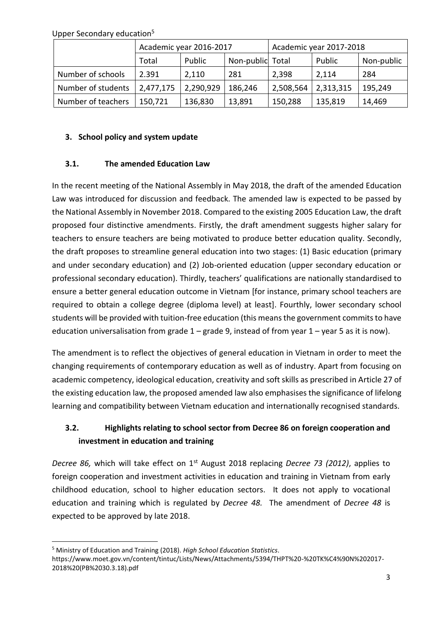Upper Secondary education<sup>5</sup>

 $\overline{\phantom{a}}$ 

|                    | Academic year 2016-2017 |           |                  | Academic year 2017-2018 |           |            |
|--------------------|-------------------------|-----------|------------------|-------------------------|-----------|------------|
|                    | Total                   | Public    | Non-public Total |                         | Public    | Non-public |
| Number of schools  | 2.391                   | 2,110     | 281              | 2,398                   | 2,114     | 284        |
| Number of students | 2,477,175               | 2,290,929 | 186,246          | 2,508,564               | 2,313,315 | 195,249    |
| Number of teachers | 150,721                 | 136,830   | 13,891           | 150,288                 | 135,819   | 14,469     |

#### **3. School policy and system update**

#### **3.1. The amended Education Law**

In the recent meeting of the National Assembly in May 2018, the draft of the amended Education Law was introduced for discussion and feedback. The amended law is expected to be passed by the National Assembly in November 2018. Compared to the existing 2005 Education Law, the draft proposed four distinctive amendments. Firstly, the draft amendment suggests higher salary for teachers to ensure teachers are being motivated to produce better education quality. Secondly, the draft proposes to streamline general education into two stages: (1) Basic education (primary and under secondary education) and (2) Job-oriented education (upper secondary education or professional secondary education). Thirdly, teachers' qualifications are nationally standardised to ensure a better general education outcome in Vietnam [for instance, primary school teachers are required to obtain a college degree (diploma level) at least]. Fourthly, lower secondary school students will be provided with tuition-free education (this means the government commits to have education universalisation from grade  $1 -$  grade 9, instead of from year  $1 -$  year 5 as it is now).

The amendment is to reflect the objectives of general education in Vietnam in order to meet the changing requirements of contemporary education as well as of industry. Apart from focusing on academic competency, ideological education, creativity and soft skills as prescribed in Article 27 of the existing education law, the proposed amended law also emphasises the significance of lifelong learning and compatibility between Vietnam education and internationally recognised standards.

## **3.2. Highlights relating to school sector from Decree 86 on foreign cooperation and investment in education and training**

*Decree 86,* which will take effect on 1st August 2018 replacing *Decree 73 (2012)*, applies to foreign cooperation and investment activities in education and training in Vietnam from early childhood education, school to higher education sectors. It does not apply to vocational education and training which is regulated by *Decree 48.* The amendment of *Decree 48* is expected to be approved by late 2018.

<sup>5</sup> Ministry of Education and Training (2018). *High School Education Statistics*. https://www.moet.gov.vn/content/tintuc/Lists/News/Attachments/5394/THPT%20-%20TK%C4%90N%202017- 2018%20(PB%2030.3.18).pdf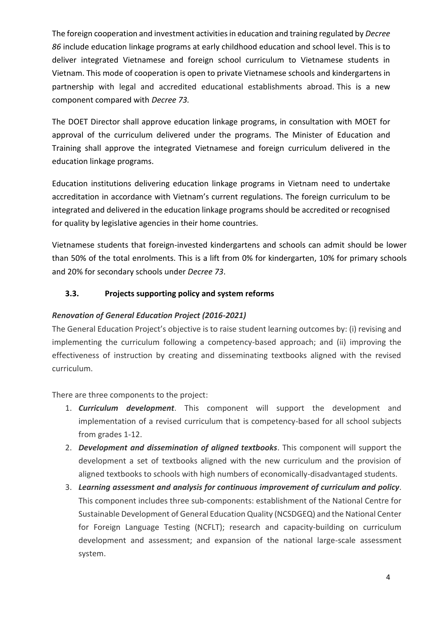The foreign cooperation and investment activities in education and training regulated by *Decree 86* include education linkage programs at early childhood education and school level. This is to deliver integrated Vietnamese and foreign school curriculum to Vietnamese students in Vietnam. This mode of cooperation is open to private Vietnamese schools and kindergartens in partnership with legal and accredited educational establishments abroad. This is a new component compared with *Decree 73.*

The DOET Director shall approve education linkage programs, in consultation with MOET for approval of the curriculum delivered under the programs. The Minister of Education and Training shall approve the integrated Vietnamese and foreign curriculum delivered in the education linkage programs.

Education institutions delivering education linkage programs in Vietnam need to undertake accreditation in accordance with Vietnam's current regulations. The foreign curriculum to be integrated and delivered in the education linkage programs should be accredited or recognised for quality by legislative agencies in their home countries.

Vietnamese students that foreign-invested kindergartens and schools can admit should be lower than 50% of the total enrolments. This is a lift from 0% for kindergarten, 10% for primary schools and 20% for secondary schools under *Decree 73*.

## **3.3. Projects supporting policy and system reforms**

### *Renovation of General Education Project (2016-2021)*

The General Education Project's objective is to raise student learning outcomes by: (i) revising and implementing the curriculum following a competency-based approach; and (ii) improving the effectiveness of instruction by creating and disseminating textbooks aligned with the revised curriculum.

There are three components to the project:

- 1. *Curriculum development*. This component will support the development and implementation of a revised curriculum that is competency-based for all school subjects from grades 1-12.
- 2. *Development and dissemination of aligned textbooks*. This component will support the development a set of textbooks aligned with the new curriculum and the provision of aligned textbooks to schools with high numbers of economically-disadvantaged students.
- 3. *Learning assessment and analysis for continuous improvement of curriculum and policy*. This component includes three sub-components: establishment of the National Centre for Sustainable Development of General Education Quality (NCSDGEQ) and the National Center for Foreign Language Testing (NCFLT); research and capacity-building on curriculum development and assessment; and expansion of the national large-scale assessment system.